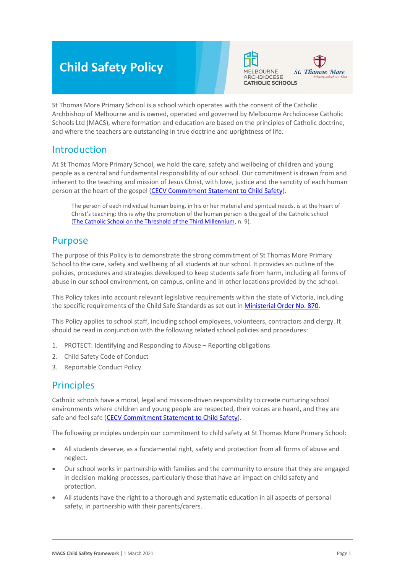# **Child Safety Policy**



St Thomas More Primary School is a school which operates with the consent of the Catholic Archbishop of Melbourne and is owned, operated and governed by Melbourne Archdiocese Catholic Schools Ltd (MACS), where formation and education are based on the principles of Catholic doctrine, and where the teachers are outstanding in true doctrine and uprightness of life.

## Introduction

At St Thomas More Primary School, we hold the care, safety and wellbeing of children and young people as a central and fundamental responsibility of our school. Our commitment is drawn from and inherent to the teaching and mission of Jesus Christ, with love, justice and the sanctity of each human person at the heart of the gospel [\(CECV Commitment Statement to Child Safety\)](https://www.cecv.catholic.edu.au/getmedia/b5d43278-51b9-4704-b45a-f14e50546a70/Commitment-Statement-A4.aspx).

The person of each individual human being, in his or her material and spiritual needs, is at the heart of Christ's teaching: this is why the promotion of the human person is the goal of the Catholic school [\(The Catholic School on the Threshold of the Third Millennium,](http://www.vatican.va/roman_curia/congregations/ccatheduc/documents/rc_con_ccatheduc_doc_27041998_school2000_en.html) n. 9).

## Purpose

The purpose of this Policy is to demonstrate the strong commitment of St Thomas More Primary School to the care, safety and wellbeing of all students at our school. It provides an outline of the policies, procedures and strategies developed to keep students safe from harm, including all forms of abuse in our school environment, on campus, online and in other locations provided by the school.

This Policy takes into account relevant legislative requirements within the state of Victoria, including the specific requirements of the Child Safe Standards as set out in [Ministerial Order No. 870.](http://www.gazette.vic.gov.au/gazette/Gazettes2016/GG2016S002.pdf)

This Policy applies to school staff, including school employees, volunteers, contractors and clergy. It should be read in conjunction with the following related school policies and procedures:

- 1. PROTECT: Identifying and Responding to Abuse Reporting obligations
- 2. Child Safety Code of Conduct
- 3. Reportable Conduct Policy.

## **Principles**

Catholic schools have a moral, legal and mission-driven responsibility to create nurturing school environments where children and young people are respected, their voices are heard, and they are safe and feel safe [\(CECV Commitment Statement to Child Safety\)](https://www.cecv.catholic.edu.au/getmedia/b5d43278-51b9-4704-b45a-f14e50546a70/Commitment-Statement-A4.aspx).

The following principles underpin our commitment to child safety at St Thomas More Primary School:

- All students deserve, as a fundamental right, safety and protection from all forms of abuse and neglect.
- Our school works in partnership with families and the community to ensure that they are engaged in decision-making processes, particularly those that have an impact on child safety and protection.
- All students have the right to a thorough and systematic education in all aspects of personal safety, in partnership with their parents/carers.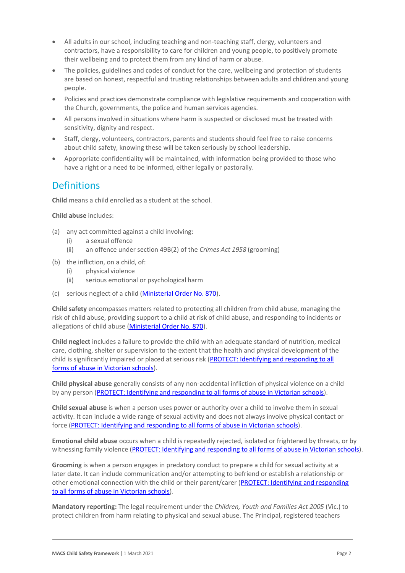- All adults in our school, including teaching and non-teaching staff, clergy, volunteers and contractors, have a responsibility to care for children and young people, to positively promote their wellbeing and to protect them from any kind of harm or abuse.
- The policies, guidelines and codes of conduct for the care, wellbeing and protection of students are based on honest, respectful and trusting relationships between adults and children and young people.
- Policies and practices demonstrate compliance with legislative requirements and cooperation with the Church, governments, the police and human services agencies.
- All persons involved in situations where harm is suspected or disclosed must be treated with sensitivity, dignity and respect.
- Staff, clergy, volunteers, contractors, parents and students should feel free to raise concerns about child safety, knowing these will be taken seriously by school leadership.
- Appropriate confidentiality will be maintained, with information being provided to those who have a right or a need to be informed, either legally or pastorally.

## **Definitions**

**Child** means a child enrolled as a student at the school.

**Child abuse** includes:

- (a) any act committed against a child involving:
	- (i) a sexual offence
	- (ii) an offence under section 49B(2) of the *Crimes Act 1958* (grooming)
- (b) the infliction, on a child, of:
	- (i) physical violence
	- (ii) serious emotional or psychological harm
- (c) serious neglect of a child [\(Ministerial Order No. 870\)](http://www.gazette.vic.gov.au/gazette/Gazettes2016/GG2016S002.pdf).

**Child safety** encompasses matters related to protecting all children from child abuse, managing the risk of child abuse, providing support to a child at risk of child abuse, and responding to incidents or allegations of child abuse [\(Ministerial Order No. 870\)](http://www.gazette.vic.gov.au/gazette/Gazettes2016/GG2016S002.pdf).

**Child neglect** includes a failure to provide the child with an adequate standard of nutrition, medical care, clothing, shelter or supervision to the extent that the health and physical development of the child is significantly impaired or placed at serious risk (PROTECT: Identifying and responding to all [forms of abuse in Victorian schools\)](http://www.cecv.catholic.edu.au/getmedia/ebe135a4-d1b3-48a0-81fe-50d4fc451bcd/Identifying-and-Responding-to-All-Forms-of-Abuse.aspx#page%3D27).

**Child physical abuse** generally consists of any non-accidental infliction of physical violence on a child by any person [\(PROTECT: Identifying and responding to all forms of abuse in Victorian schools\)](https://www.cecv.catholic.edu.au/getmedia/ebe135a4-d1b3-48a0-81fe-50d4fc451bcd/Identifying-and-Responding-to-All-Forms-of-Abuse.aspx#page%3D15).

**Child sexual abuse** is when a person uses power or authority over a child to involve them in sexual activity. It can include a wide range of sexual activity and does not always involve physical contact or force [\(PROTECT: Identifying and responding to all forms of abuse in Victorian schools\)](https://www.cecv.catholic.edu.au/getmedia/ebe135a4-d1b3-48a0-81fe-50d4fc451bcd/Identifying-and-Responding-to-All-Forms-of-Abuse.aspx#page%3D17).

**Emotional child abuse** occurs when a child is repeatedly rejected, isolated or frightened by threats, or by witnessing family violence [\(PROTECT: Identifying and responding to all forms of abuse in Victorian schools\)](https://www.cecv.catholic.edu.au/getmedia/ebe135a4-d1b3-48a0-81fe-50d4fc451bcd/Identifying-and-Responding-to-All-Forms-of-Abuse.aspx#page%3D26).

**Grooming** is when a person engages in predatory conduct to prepare a child for sexual activity at a later date. It can include communication and/or attempting to befriend or establish a relationship or other emotional connection with the child or their parent/carer (PROTECT: Identifying and responding [to all forms of abuse in Victorian schools\)](https://www.cecv.catholic.edu.au/getmedia/ebe135a4-d1b3-48a0-81fe-50d4fc451bcd/Identifying-and-Responding-to-All-Forms-of-Abuse.aspx#page%3D20).

**Mandatory reporting:** The legal requirement under the *Children, Youth and Families Act 2005* (Vic.) to protect children from harm relating to physical and sexual abuse. The Principal, registered teachers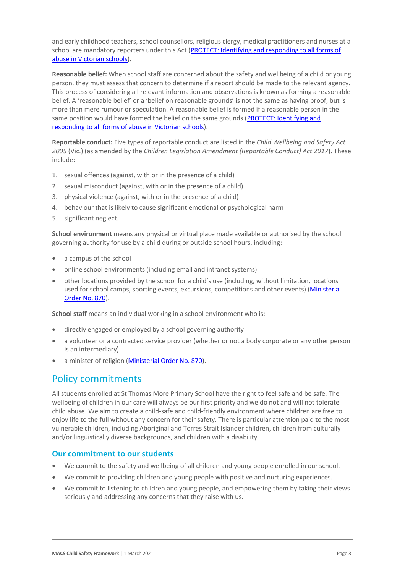and early childhood teachers, school counsellors, religious clergy, medical practitioners and nurses at a school are mandatory reporters under this Act (PROTECT: Identifying and responding to all forms of [abuse in Victorian schools\)](http://www.cecv.catholic.edu.au/getmedia/ebe135a4-d1b3-48a0-81fe-50d4fc451bcd/Identifying-and-Responding-to-All-Forms-of-Abuse.aspx#page%3D8).

**Reasonable belief:** When school staff are concerned about the safety and wellbeing of a child or young person, they must assess that concern to determine if a report should be made to the relevant agency. This process of considering all relevant information and observations is known as forming a reasonable belief. A 'reasonable belief' or a 'belief on reasonable grounds' is not the same as having proof, but is more than mere rumour or speculation. A reasonable belief is formed if a reasonable person in the same position would have formed the belief on the same grounds (PROTECT: Identifying and [responding to all forms of abuse in Victorian schools\)](http://www.cecv.catholic.edu.au/getmedia/ebe135a4-d1b3-48a0-81fe-50d4fc451bcd/Identifying-and-Responding-to-All-Forms-of-Abuse.aspx#page%3D35).

**Reportable conduct:** Five types of reportable conduct are listed in the *Child Wellbeing and Safety Act 2005* (Vic.) (as amended by the *Children Legislation Amendment (Reportable Conduct) Act 2017*). These include:

- 1. sexual offences (against, with or in the presence of a child)
- 2. sexual misconduct (against, with or in the presence of a child)
- 3. physical violence (against, with or in the presence of a child)
- 4. behaviour that is likely to cause significant emotional or psychological harm
- 5. significant neglect.

**School environment** means any physical or virtual place made available or authorised by the school governing authority for use by a child during or outside school hours, including:

- a campus of the school
- online school environments (including email and intranet systems)
- other locations provided by the school for a child's use (including, without limitation, locations used for school camps, sporting events, excursions, competitions and other events) (Ministerial [Order No. 870\)](http://www.gazette.vic.gov.au/gazette/Gazettes2016/GG2016S002.pdf).

**School staff** means an individual working in a school environment who is:

- directly engaged or employed by a school governing authority
- a volunteer or a contracted service provider (whether or not a body corporate or any other person is an intermediary)
- a minister of religion [\(Ministerial Order No. 870\)](http://www.gazette.vic.gov.au/gazette/Gazettes2016/GG2016S002.pdf).

## Policy commitments

All students enrolled at St Thomas More Primary School have the right to feel safe and be safe. The wellbeing of children in our care will always be our first priority and we do not and will not tolerate child abuse. We aim to create a child-safe and child-friendly environment where children are free to enjoy life to the full without any concern for their safety. There is particular attention paid to the most vulnerable children, including Aboriginal and Torres Strait Islander children, children from culturally and/or linguistically diverse backgrounds, and children with a disability.

#### **Our commitment to our students**

- We commit to the safety and wellbeing of all children and young people enrolled in our school.
- We commit to providing children and young people with positive and nurturing experiences.
- We commit to listening to children and young people, and empowering them by taking their views seriously and addressing any concerns that they raise with us.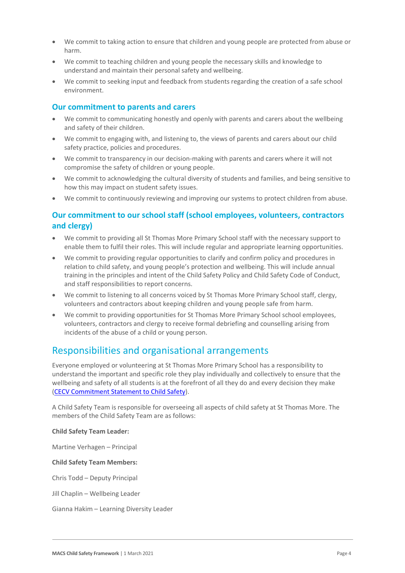- We commit to taking action to ensure that children and young people are protected from abuse or harm.
- We commit to teaching children and young people the necessary skills and knowledge to understand and maintain their personal safety and wellbeing.
- We commit to seeking input and feedback from students regarding the creation of a safe school environment.

#### **Our commitment to parents and carers**

- We commit to communicating honestly and openly with parents and carers about the wellbeing and safety of their children.
- We commit to engaging with, and listening to, the views of parents and carers about our child safety practice, policies and procedures.
- We commit to transparency in our decision-making with parents and carers where it will not compromise the safety of children or young people.
- We commit to acknowledging the cultural diversity of students and families, and being sensitive to how this may impact on student safety issues.
- We commit to continuously reviewing and improving our systems to protect children from abuse.

#### **Our commitment to our school staff (school employees, volunteers, contractors and clergy)**

- We commit to providing all St Thomas More Primary School staff with the necessary support to enable them to fulfil their roles. This will include regular and appropriate learning opportunities.
- We commit to providing regular opportunities to clarify and confirm policy and procedures in relation to child safety, and young people's protection and wellbeing. This will include annual training in the principles and intent of the Child Safety Policy and Child Safety Code of Conduct, and staff responsibilities to report concerns.
- We commit to listening to all concerns voiced by St Thomas More Primary School staff, clergy, volunteers and contractors about keeping children and young people safe from harm.
- We commit to providing opportunities for St Thomas More Primary School school employees, volunteers, contractors and clergy to receive formal debriefing and counselling arising from incidents of the abuse of a child or young person.

## Responsibilities and organisational arrangements

Everyone employed or volunteering at St Thomas More Primary School has a responsibility to understand the important and specific role they play individually and collectively to ensure that the wellbeing and safety of all students is at the forefront of all they do and every decision they make [\(CECV Commitment Statement to Child Safety\)](https://www.cecv.catholic.edu.au/getmedia/b5d43278-51b9-4704-b45a-f14e50546a70/Commitment-Statement-A4.aspx).

A Child Safety Team is responsible for overseeing all aspects of child safety at St Thomas More. The members of the Child Safety Team are as follows:

#### **Child Safety Team Leader:**

Martine Verhagen – Principal

#### **Child Safety Team Members:**

Chris Todd – Deputy Principal

Jill Chaplin – Wellbeing Leader

Gianna Hakim – Learning Diversity Leader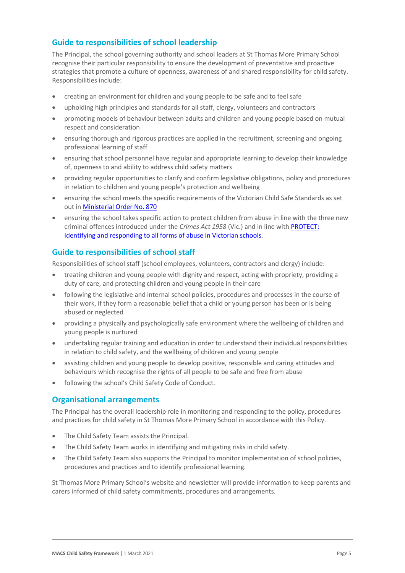#### **Guide to responsibilities of school leadership**

The Principal, the school governing authority and school leaders at St Thomas More Primary School recognise their particular responsibility to ensure the development of preventative and proactive strategies that promote a culture of openness, awareness of and shared responsibility for child safety. Responsibilities include:

- creating an environment for children and young people to be safe and to feel safe
- upholding high principles and standards for all staff, clergy, volunteers and contractors
- promoting models of behaviour between adults and children and young people based on mutual respect and consideration
- ensuring thorough and rigorous practices are applied in the recruitment, screening and ongoing professional learning of staff
- ensuring that school personnel have regular and appropriate learning to develop their knowledge of, openness to and ability to address child safety matters
- providing regular opportunities to clarify and confirm legislative obligations, policy and procedures in relation to children and young people's protection and wellbeing
- ensuring the school meets the specific requirements of the Victorian Child Safe Standards as set out i[n Ministerial Order No. 870](http://www.gazette.vic.gov.au/gazette/Gazettes2016/GG2016S002.pdf)
- ensuring the school takes specific action to protect children from abuse in line with the three new criminal offences introduced under the *Crimes Act 1958* (Vic.) and in line with [PROTECT:](http://www.cecv.catholic.edu.au/getmedia/ebe135a4-d1b3-48a0-81fe-50d4fc451bcd/Identifying-and-Responding-to-All-Forms-of-Abuse.aspx)  [Identifying and responding to all forms of abuse in Victorian schools.](http://www.cecv.catholic.edu.au/getmedia/ebe135a4-d1b3-48a0-81fe-50d4fc451bcd/Identifying-and-Responding-to-All-Forms-of-Abuse.aspx)

#### **Guide to responsibilities of school staff**

Responsibilities of school staff (school employees, volunteers, contractors and clergy) include:

- treating children and young people with dignity and respect, acting with propriety, providing a duty of care, and protecting children and young people in their care
- following the legislative and internal school policies, procedures and processes in the course of their work, if they form a reasonable belief that a child or young person has been or is being abused or neglected
- providing a physically and psychologically safe environment where the wellbeing of children and young people is nurtured
- undertaking regular training and education in order to understand their individual responsibilities in relation to child safety, and the wellbeing of children and young people
- assisting children and young people to develop positive, responsible and caring attitudes and behaviours which recognise the rights of all people to be safe and free from abuse
- following the school's Child Safety Code of Conduct.

#### **Organisational arrangements**

The Principal has the overall leadership role in monitoring and responding to the policy, procedures and practices for child safety in St Thomas More Primary School in accordance with this Policy.

- The Child Safety Team assists the Principal.
- The Child Safety Team works in identifying and mitigating risks in child safety.
- The Child Safety Team also supports the Principal to monitor implementation of school policies, procedures and practices and to identify professional learning.

St Thomas More Primary School's website and newsletter will provide information to keep parents and carers informed of child safety commitments, procedures and arrangements.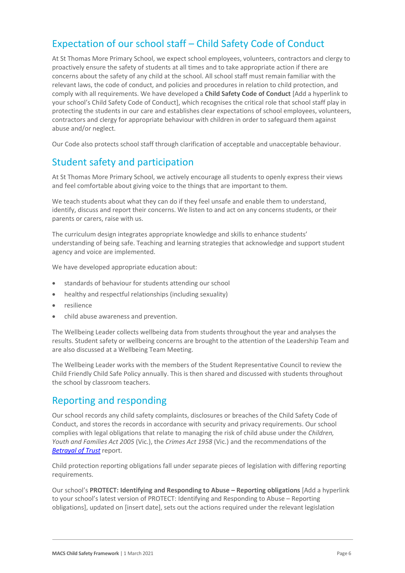## Expectation of our school staff – Child Safety Code of Conduct

At St Thomas More Primary School, we expect school employees, volunteers, contractors and clergy to proactively ensure the safety of students at all times and to take appropriate action if there are concerns about the safety of any child at the school. All school staff must remain familiar with the relevant laws, the code of conduct, and policies and procedures in relation to child protection, and comply with all requirements. We have developed a **Child Safety Code of Conduct** [Add a hyperlink to your school's Child Safety Code of Conduct], which recognises the critical role that school staff play in protecting the students in our care and establishes clear expectations of school employees, volunteers, contractors and clergy for appropriate behaviour with children in order to safeguard them against abuse and/or neglect.

Our Code also protects school staff through clarification of acceptable and unacceptable behaviour.

## Student safety and participation

At St Thomas More Primary School, we actively encourage all students to openly express their views and feel comfortable about giving voice to the things that are important to them.

We teach students about what they can do if they feel unsafe and enable them to understand, identify, discuss and report their concerns. We listen to and act on any concerns students, or their parents or carers, raise with us.

The curriculum design integrates appropriate knowledge and skills to enhance students' understanding of being safe. Teaching and learning strategies that acknowledge and support student agency and voice are implemented.

We have developed appropriate education about:

- standards of behaviour for students attending our school
- healthy and respectful relationships (including sexuality)
- resilience
- child abuse awareness and prevention.

The Wellbeing Leader collects wellbeing data from students throughout the year and analyses the results. Student safety or wellbeing concerns are brought to the attention of the Leadership Team and are also discussed at a Wellbeing Team Meeting.

The Wellbeing Leader works with the members of the Student Representative Council to review the Child Friendly Child Safe Policy annually. This is then shared and discussed with students throughout the school by classroom teachers.

## Reporting and responding

Our school records any child safety complaints, disclosures or breaches of the Child Safety Code of Conduct, and stores the records in accordance with security and privacy requirements. Our school complies with legal obligations that relate to managing the risk of child abuse under the *Children, Youth and Families Act 2005* (Vic.), the *Crimes Act 1958* (Vic.) and the recommendations of the *[Betrayal of Trust](http://www.parliament.vic.gov.au/fcdc/article/1788)* report.

Child protection reporting obligations fall under separate pieces of legislation with differing reporting requirements.

Our school's **PROTECT: Identifying and Responding to Abuse – Reporting obligations** [Add a hyperlink to your school's latest version of PROTECT: Identifying and Responding to Abuse – Reporting obligations], updated on [insert date], sets out the actions required under the relevant legislation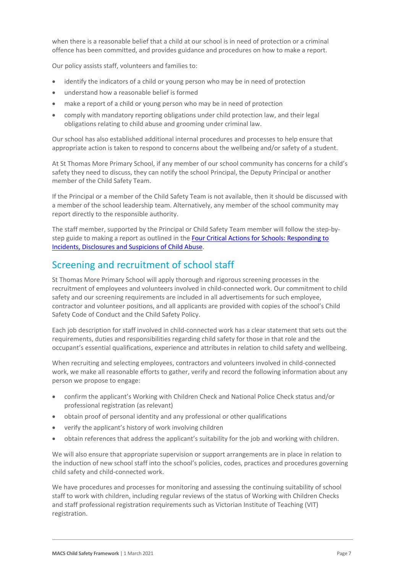when there is a reasonable belief that a child at our school is in need of protection or a criminal offence has been committed, and provides guidance and procedures on how to make a report.

Our policy assists staff, volunteers and families to:

- identify the indicators of a child or young person who may be in need of protection
- understand how a reasonable belief is formed
- make a report of a child or young person who may be in need of protection
- comply with mandatory reporting obligations under child protection law, and their legal obligations relating to child abuse and grooming under criminal law.

Our school has also established additional internal procedures and processes to help ensure that appropriate action is taken to respond to concerns about the wellbeing and/or safety of a student.

At St Thomas More Primary School, if any member of our school community has concerns for a child's safety they need to discuss, they can notify the school Principal, the Deputy Principal or another member of the Child Safety Team.

If the Principal or a member of the Child Safety Team is not available, then it should be discussed with a member of the school leadership team. Alternatively, any member of the school community may report directly to the responsible authority.

The staff member, supported by the Principal or Child Safety Team member will follow the step-bystep guide to making a report as outlined in the **Four Critical Actions for Schools: Responding to** [Incidents, Disclosures and Suspicions of Child Abuse.](https://www.education.vic.gov.au/Documents/about/programs/health/protect/FourCriticalActions_ChildAbuse.pdf)

## Screening and recruitment of school staff

St Thomas More Primary School will apply thorough and rigorous screening processes in the recruitment of employees and volunteers involved in child-connected work. Our commitment to child safety and our screening requirements are included in all advertisements for such employee, contractor and volunteer positions, and all applicants are provided with copies of the school's Child Safety Code of Conduct and the Child Safety Policy.

Each job description for staff involved in child-connected work has a clear statement that sets out the requirements, duties and responsibilities regarding child safety for those in that role and the occupant's essential qualifications, experience and attributes in relation to child safety and wellbeing.

When recruiting and selecting employees, contractors and volunteers involved in child-connected work, we make all reasonable efforts to gather, verify and record the following information about any person we propose to engage:

- confirm the applicant's Working with Children Check and National Police Check status and/or professional registration (as relevant)
- obtain proof of personal identity and any professional or other qualifications
- verify the applicant's history of work involving children
- obtain references that address the applicant's suitability for the job and working with children.

We will also ensure that appropriate supervision or support arrangements are in place in relation to the induction of new school staff into the school's policies, codes, practices and procedures governing child safety and child-connected work.

We have procedures and processes for monitoring and assessing the continuing suitability of school staff to work with children, including regular reviews of the status of Working with Children Checks and staff professional registration requirements such as Victorian Institute of Teaching (VIT) registration.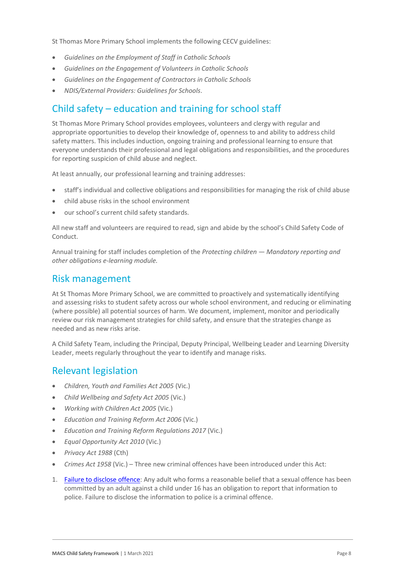St Thomas More Primary School implements the following CECV guidelines:

- *Guidelines on the Employment of Staff in Catholic Schools*
- *Guidelines on the Engagement of Volunteers in Catholic Schools*
- *Guidelines on the Engagement of Contractors in Catholic Schools*
- *NDIS/External Providers: Guidelines for Schools*.

## Child safety – education and training for school staff

St Thomas More Primary School provides employees, volunteers and clergy with regular and appropriate opportunities to develop their knowledge of, openness to and ability to address child safety matters. This includes induction, ongoing training and professional learning to ensure that everyone understands their professional and legal obligations and responsibilities, and the procedures for reporting suspicion of child abuse and neglect.

At least annually, our professional learning and training addresses:

- staff's individual and collective obligations and responsibilities for managing the risk of child abuse
- child abuse risks in the school environment
- our school's current child safety standards.

All new staff and volunteers are required to read, sign and abide by the school's Child Safety Code of Conduct.

Annual training for staff includes completion of the *Protecting children — [Mandatory reporting and](http://www.elearn.com.au/det/protectingchildren/schools/)  [other obligations e-learning](http://www.elearn.com.au/det/protectingchildren/schools/) module.*

#### Risk management

At St Thomas More Primary School, we are committed to proactively and systematically identifying and assessing risks to student safety across our whole school environment, and reducing or eliminating (where possible) all potential sources of harm. We document, implement, monitor and periodically review our risk management strategies for child safety, and ensure that the strategies change as needed and as new risks arise.

A Child Safety Team, including the Principal, Deputy Principal, Wellbeing Leader and Learning Diversity Leader, meets regularly throughout the year to identify and manage risks.

### Relevant legislation

- *Children, Youth and Families Act 2005* (Vic.)
- *Child Wellbeing and Safety Act 2005* (Vic.)
- *Working with Children Act 2005* (Vic.)
- *Education and Training Reform Act 2006* (Vic.)
- *Education and Training Reform Regulations 2017* (Vic.)
- *Equal Opportunity Act 2010* (Vic.)
- *Privacy Act 1988* (Cth)
- *Crimes Act 1958* (Vic.) Three new criminal offences have been introduced under this Act:
- 1. [Failure to disclose offence:](https://www.justice.vic.gov.au/safer-communities/protecting-children-and-families/failure-to-disclose-offence#%3A~%3Atext%3DIn%202014%2C%20the%20law%20in%20Victoria%20was%20changed%2Coffended%20against%20a%20child%20under%2016%20in%20Victoria) Any adult who forms a reasonable belief that a sexual offence has been committed by an adult against a child under 16 has an obligation to report that information to police. Failure to disclose the information to police is a criminal offence.